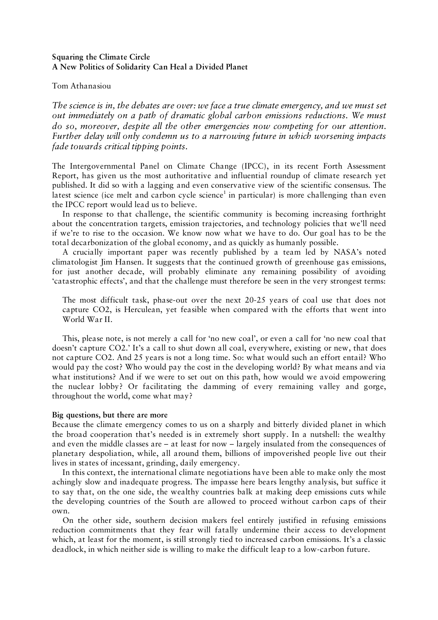# **Squaring the Climate Circle A New Politics of Solidarity Can Heal a Divided Planet**

## Tom Athanasiou

*The science is in, the debates are over: we face a true climate emergency, and we must set out immediately on a path of dramatic global carbon emissions reductions. We must do so, moreover, despite all the other emergencies now competing for our attention. Further delay will only condemn us to a narrowing future in which worsening impacts fade towards critical tipping points.*

The Intergovernmental Panel on Climate Change (IPCC), in its recent Forth Assessment Report, has given us the most authoritative and influential roundup of climate research yet published. It did so with a lagging and even conservative view of the scientific consensus. The latest science (ice melt and carbon cycle science<sup>1</sup> in particular) is more challenging than even the IPCC report would lead us to believe.

In response to that challenge, the scientific community is becoming increasing forthright about the concentration targets, emission trajectories, and technology policies that we'll need if we're to rise to the occasion. We know now what we have to do. Our goal has to be the total decarbonization of the global economy, and as quickly as humanly possible.

A crucially important paper was recently published by a team led by NASA's noted climatologist Jim Hansen. It suggests that the continued growth of greenhouse gas emissions, for just another decade, will probably eliminate any remaining possibility of avoiding 'catastrophic effects', and that the challenge must therefore be seen in the very strongest terms:

The most difficult task, phase-out over the next 20-25 years of coal use that does not capture CO2, is Herculean, yet feasible when compared with the efforts that went into World War II.

This, please note, is not merely a call for 'no new coal', or even a call for 'no new coal that doesn't capture CO2.' It's a call to shut down all coal, everywhere, existing or new, that does not capture CO2. And 25 years is not a long time. So: what would such an effort entail? Who would pay the cost? Who would pay the cost in the developing world? By what means and via what institutions? And if we were to set out on this path, how would we avoid empowering the nuclear lobby? Or facilitating the damming of every remaining valley and gorge, throughout the world, come what may?

### **Big questions, but there are more**

Because the climate emergency comes to us on a sharply and bitterly divided planet in which the broad cooperation that's needed is in extremely short supply. In a nutshell: the wealthy and even the middle classes are – at least for now – largely insulated from the consequences of planetary despoliation, while, all around them, billions of impoverished people live out their lives in states of incessant, grinding, daily emergency.

In this context, the international climate negotiations have been able to make only the most achingly slow and inadequate progress. The impasse here bears lengthy analysis, but suffice it to say that, on the one side, the wealthy countries balk at making deep emissions cuts while the developing countries of the South are allowed to proceed without carbon caps of their own.

On the other side, southern decision makers feel entirely justified in refusing emissions reduction commitments that they fear will fatally undermine their access to development which, at least for the moment, is still strongly tied to increased carbon emissions. It's a classic deadlock, in which neither side is willing to make the difficult leap to a low-carbon future.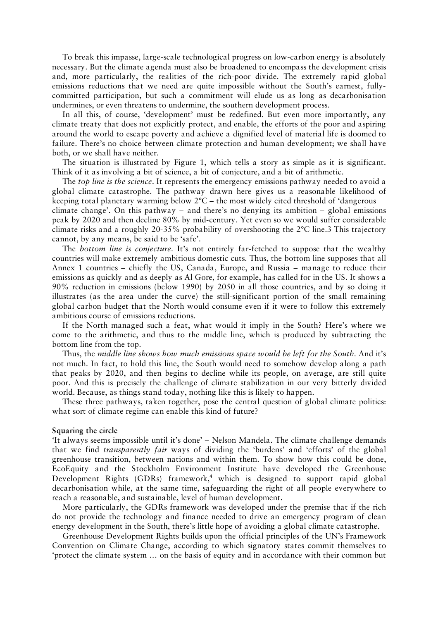To break this impasse, large-scale technological progress on low-carbon energy is absolutely necessary. But the climate agenda must also be broadened to encompass the development crisis and, more particularly, the realities of the rich-poor divide. The extremely rapid global emissions reductions that we need are quite impossible without the South's earnest, fullycommitted participation, but such a commitment will elude us as long as decarbonisation undermines, or even threatens to undermine, the southern development process.

In all this, of course, 'development' must be redefined. But even more importantly, any climate treaty that does not explicitly protect, and enable, the efforts of the poor and aspiring around the world to escape poverty and achieve a dignified level of material life is doomed to failure. There's no choice between climate protection and human development; we shall have both, or we shall have neither.

The situation is illustrated by Figure 1, which tells a story as simple as it is significant. Think of it as involving a bit of science, a bit of conjecture, and a bit of arithmetic.

The *top line is the science*. It represents the emergency emissions pathway needed to avoid a global climate catastrophe. The pathway drawn here gives us a reasonable likelihood of keeping total planetary warming below 2°C – the most widely cited threshold of 'dangerous climate change'. On this pathway – and there's no denying its ambition – global emissions peak by 2020 and then decline 80% by mid-century. Yet even so we would suffer considerable climate risks and a roughly 20-35% probability of overshooting the 2°C line.3 This trajectory cannot, by any means, be said to be 'safe'.

The *bottom line is conjecture*. It's not entirely far-fetched to suppose that the wealthy countries will make extremely ambitious domestic cuts. Thus, the bottom line supposes that all Annex 1 countries – chiefly the US, Canada, Europe, and Russia – manage to reduce their emissions as quickly and as deeply as Al Gore, for example, has called for in the US. It shows a 90% reduction in emissions (below 1990) by 2050 in all those countries, and by so doing it illustrates (as the area under the curve) the still-significant portion of the small remaining global carbon budget that the North would consume even if it were to follow this extremely ambitious course of emissions reductions.

If the North managed such a feat, what would it imply in the South? Here's where we come to the arithmetic, and thus to the middle line, which is produced by subtracting the bottom line from the top.

Thus, the *middle line shows how much emissions space would be left for the South*. And it's not much. In fact, to hold this line, the South would need to somehow develop along a path that peaks by 2020, and then begins to decline while its people, on average, are still quite poor. And this is precisely the challenge of climate stabilization in our very bitterly divided world. Because, as things stand today, nothing like this is likely to happen.

These three pathways, taken together, pose the central question of global climate politics: what sort of climate regime can enable this kind of future?

#### **Squaring the circle**

'It always seems impossible until it's done' – Nelson Mandela. The climate challenge demands that we find *transparently fair* ways of dividing the 'burdens' and 'efforts' of the global greenhouse transition, between nations and within them. To show how this could be done, EcoEquity and the Stockholm Environment Institute have developed the Greenhouse Development Rights (GDRs) framework,<sup>4</sup> which is designed to support rapid global decarbonisation while, at the same time, safeguarding the right of all people everywhere to reach a reasonable, and sustainable, level of human development.

More particularly, the GDRs framework was developed under the premise that if the rich do not provide the technology and finance needed to drive an emergency program of clean energy development in the South, there's little hope of avoiding a global climate catastrophe.

Greenhouse Development Rights builds upon the official principles of the UN's Framework Convention on Climate Change, according to which signatory states commit themselves to 'protect the climate system … on the basis of equity and in accordance with their common but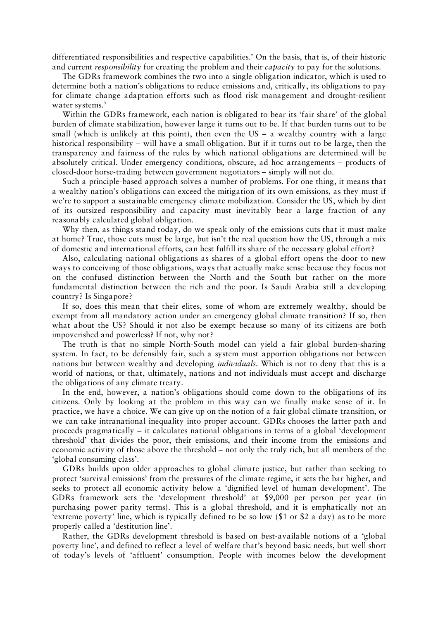differentiated responsibilities and respective capabilities.' On the basis, that is, of their historic and current *responsibility* for creating the problem and their *capacity* to pay for the solutions.

The GDRs framework combines the two into a single obligation indicator, which is used to determine both a nation's obligations to reduce emissions and, critically, its obligations to pay for climate change adaptation efforts such as flood risk management and drought-resilient water systems.<sup>5</sup>

Within the GDRs framework, each nation is obligated to bear its 'fair share' of the global burden of climate stabilization, however large it turns out to be. If that burden turns out to be small (which is unlikely at this point), then even the US – a wealthy country with a large historical responsibility – will have a small obligation. But if it turns out to be large, then the transparency and fairness of the rules by which national obligations are determined will be absolutely critical. Under emergency conditions, obscure, ad hoc arrangements – products of closed-door horse-trading between government negotiators – simply will not do.

Such a principle-based approach solves a number of problems. For one thing, it means that a wealthy nation's obligations can exceed the mitigation of its own emissions, as they must if we're to support a sustainable emergency climate mobilization. Consider the US, which by dint of its outsized responsibility and capacity must inevitably bear a large fraction of any reasonably calculated global obligation.

Why then, as things stand today, do we speak only of the emissions cuts that it must make at home? True, those cuts must be large, but isn't the real question how the US, through a mix of domestic and international efforts, can best fulfill its share of the necessary global effort?

Also, calculating national obligations as shares of a global effort opens the door to new ways to conceiving of those obligations, ways that actually make sense because they focus not on the confused distinction between the North and the South but rather on the more fundamental distinction between the rich and the poor. Is Saudi Arabia still a developing country? Is Singapore?

If so, does this mean that their elites, some of whom are extremely wealthy, should be exempt from all mandatory action under an emergency global climate transition? If so, then what about the US? Should it not also be exempt because so many of its citizens are both impoverished and powerless? If not, why not?

The truth is that no simple North-South model can yield a fair global burden-sharing system. In fact, to be defensibly fair, such a system must apportion obligations not between nations but between wealthy and developing *individuals*. Which is not to deny that this is a world of nations, or that, ultimately, nations and not individuals must accept and discharge the obligations of any climate treaty.

In the end, however, a nation's obligations should come down to the obligations of its citizens. Only by looking at the problem in this way can we finally make sense of it. In practice, we have a choice. We can give up on the notion of a fair global climate transition, or we can take intranational inequality into proper account. GDRs chooses the latter path and proceeds pragmatically – it calculates national obligations in terms of a global 'development threshold' that divides the poor, their emissions, and their income from the emissions and economic activity of those above the threshold – not only the truly rich, but all members of the 'global consuming class'.

GDRs builds upon older approaches to global climate justice, but rather than seeking to protect 'survival emissions' from the pressures of the climate regime, it sets the bar higher, and seeks to protect all economic activity below a 'dignified level of human development'. The GDRs framework sets the 'development threshold' at \$9,000 per person per year (in purchasing power parity terms). This is a global threshold, and it is emphatically not an 'extreme poverty' line, which is typically defined to be so low (\$1 or \$2 a day) as to be more properly called a 'destitution line'.

Rather, the GDRs development threshold is based on best-available notions of a 'global poverty line', and defined to reflect a level of welfare that's beyond basic needs, but well short of today's levels of 'affluent' consumption. People with incomes below the development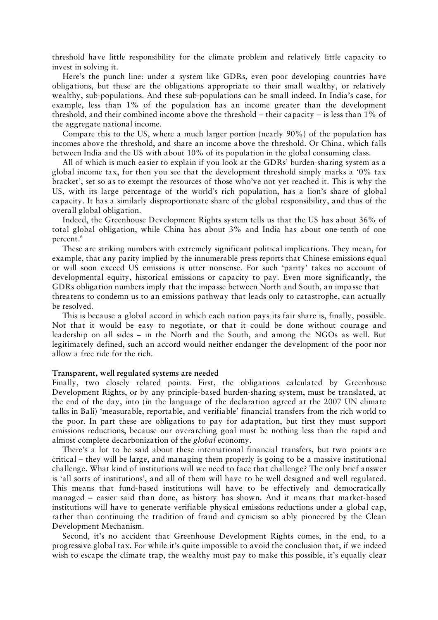threshold have little responsibility for the climate problem and relatively little capacity to invest in solving it.

Here's the punch line: under a system like GDRs, even poor developing countries have obligations, but these are the obligations appropriate to their small wealthy, or relatively wealthy, sub-populations. And these sub-populations can be small indeed. In India's case, for example, less than 1% of the population has an income greater than the development threshold, and their combined income above the threshold – their capacity – is less than 1% of the aggregate national income.

Compare this to the US, where a much larger portion (nearly 90%) of the population has incomes above the threshold, and share an income above the threshold. Or China, which falls between India and the US with about 10% of its population in the global consuming class.

All of which is much easier to explain if you look at the GDRs' burden-sharing system as a global income tax, for then you see that the development threshold simply marks a '0% tax bracket', set so as to exempt the resources of those who've not yet reached it. This is why the US, with its large percentage of the world's rich population, has a lion's share of global capacity. It has a similarly disproportionate share of the global responsibility, and thus of the overall global obligation.

Indeed, the Greenhouse Development Rights system tells us that the US has about 36% of total global obligation, while China has about 3% and India has about one-tenth of one percent.6

These are striking numbers with extremely significant political implications. They mean, for example, that any parity implied by the innumerable press reports that Chinese emissions equal or will soon exceed US emissions is utter nonsense. For such 'parity' takes no account of developmental equity, historical emissions or capacity to pay. Even more significantly, the GDRs obligation numbers imply that the impasse between North and South, an impasse that threatens to condemn us to an emissions pathway that leads only to catastrophe, can actually be resolved.

This is because a global accord in which each nation pays its fair share is, finally, possible. Not that it would be easy to negotiate, or that it could be done without courage and leadership on all sides – in the North and the South, and among the NGOs as well. But legitimately defined, such an accord would neither endanger the development of the poor nor allow a free ride for the rich.

### **Transparent, well regulated systems are needed**

Finally, two closely related points. First, the obligations calculated by Greenhouse Development Rights, or by any principle-based burden-sharing system, must be translated, at the end of the day, into (in the language of the declaration agreed at the 2007 UN climate talks in Bali) 'measurable, reportable, and verifiable' financial transfers from the rich world to the poor. In part these are obligations to pay for adaptation, but first they must support emissions reductions, because our overarching goal must be nothing less than the rapid and almost complete decarbonization of the *global* economy.

There's a lot to be said about these international financial transfers, but two points are critical – they will be large, and managing them properly is going to be a massive institutional challenge. What kind of institutions will we need to face that challenge? The only brief answer is 'all sorts of institutions', and all of them will have to be well designed and well regulated. This means that fund-based institutions will have to be effectively and democratically managed – easier said than done, as history has shown. And it means that market-based institutions will have to generate verifiable physical emissions reductions under a global cap, rather than continuing the tradition of fraud and cynicism so ably pioneered by the Clean Development Mechanism.

Second, it's no accident that Greenhouse Development Rights comes, in the end, to a progressive global tax. For while it's quite impossible to avoid the conclusion that, if we indeed wish to escape the climate trap, the wealthy must pay to make this possible, it's equally clear